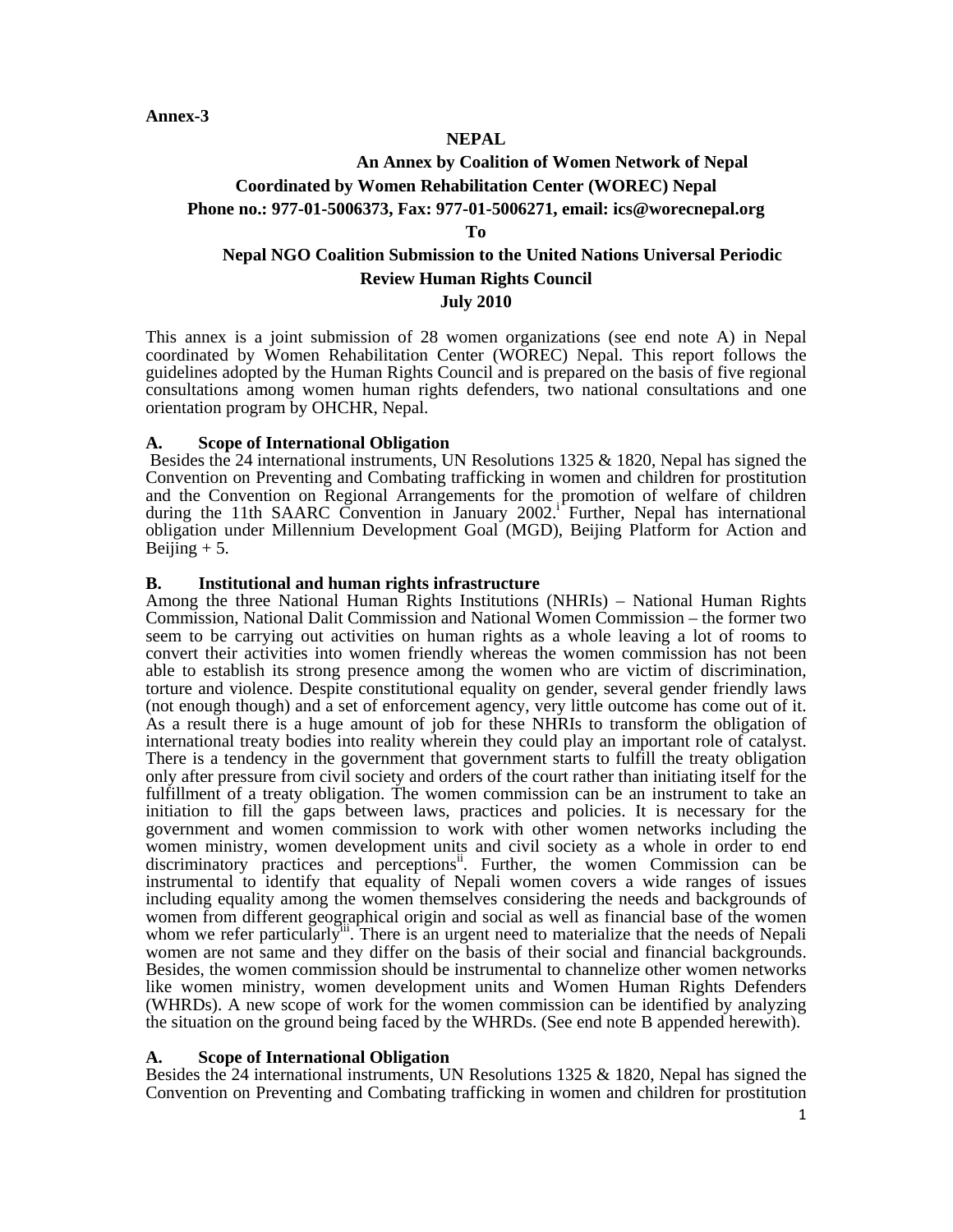**Annex-3** 

#### **NEPAL**

# **An Annex by Coalition of Women Network of Nepal Coordinated by Women Rehabilitation Center (WOREC) Nepal Phone no.: 977-01-5006373, Fax: 977-01-5006271, email: ics@worecnepal.org**

#### **To**

# **Nepal NGO Coalition Submission to the United Nations Universal Periodic Review Human Rights Council July 2010**

This annex is a joint submission of 28 women organizations (see end note A) in Nepal coordinated by Women Rehabilitation Center (WOREC) Nepal. This report follows the guidelines adopted by the Human Rights Council and is prepared on the basis of five regional consultations among women human rights defenders, two national consultations and one orientation program by OHCHR, Nepal.

#### **A. Scope of International Obligation**

 Besides the 24 international instruments, UN Resolutions 1325 & 1820, Nepal has signed the Convention on Preventing and Combating trafficking in women and children for prostitution and the Convention on Regional Arrangements for the promotion of welfare of children during the 11th SAARC Convention in January  $2002$ .<sup>1</sup> Further, Nepal has international obligation under Millennium Development Goal (MGD), Beijing Platform for Action and Beijing  $+ 5$ .

#### **B. Institutional and human rights infrastructure**

Among the three National Human Rights Institutions (NHRIs) – National Human Rights Commission, National Dalit Commission and National Women Commission – the former two seem to be carrying out activities on human rights as a whole leaving a lot of rooms to convert their activities into women friendly whereas the women commission has not been able to establish its strong presence among the women who are victim of discrimination, torture and violence. Despite constitutional equality on gender, several gender friendly laws (not enough though) and a set of enforcement agency, very little outcome has come out of it. As a result there is a huge amount of job for these NHRIs to transform the obligation of international treaty bodies into reality wherein they could play an important role of catalyst. There is a tendency in the government that government starts to fulfill the treaty obligation only after pressure from civil society and orders of the court rather than initiating itself for the fulfillment of a treaty obligation. The women commission can be an instrument to take an initiation to fill the gaps between laws, practices and policies. It is necessary for the government and women commission to work with other women networks including the women ministry, women development units and civil society as a whole in order to end discriminatory practices and perceptions<sup>ii</sup>. Further, the women Commission can be instrumental to identify that equality of Nepali women covers a wide ranges of issues including equality among the women themselves considering the needs and backgrounds of women from different geographical origin and social as well as financial base of the women whom we refer particularly<sup>iii</sup>. There is an urgent need to materialize that the needs of Nepali women are not same and they differ on the basis of their social and financial backgrounds. Besides, the women commission should be instrumental to channelize other women networks like women ministry, women development units and Women Human Rights Defenders (WHRDs). A new scope of work for the women commission can be identified by analyzing the situation on the ground being faced by the WHRDs. (See end note B appended herewith).

#### **A. Scope of International Obligation**

Besides the 24 international instruments, UN Resolutions 1325  $\&$  1820, Nepal has signed the Convention on Preventing and Combating trafficking in women and children for prostitution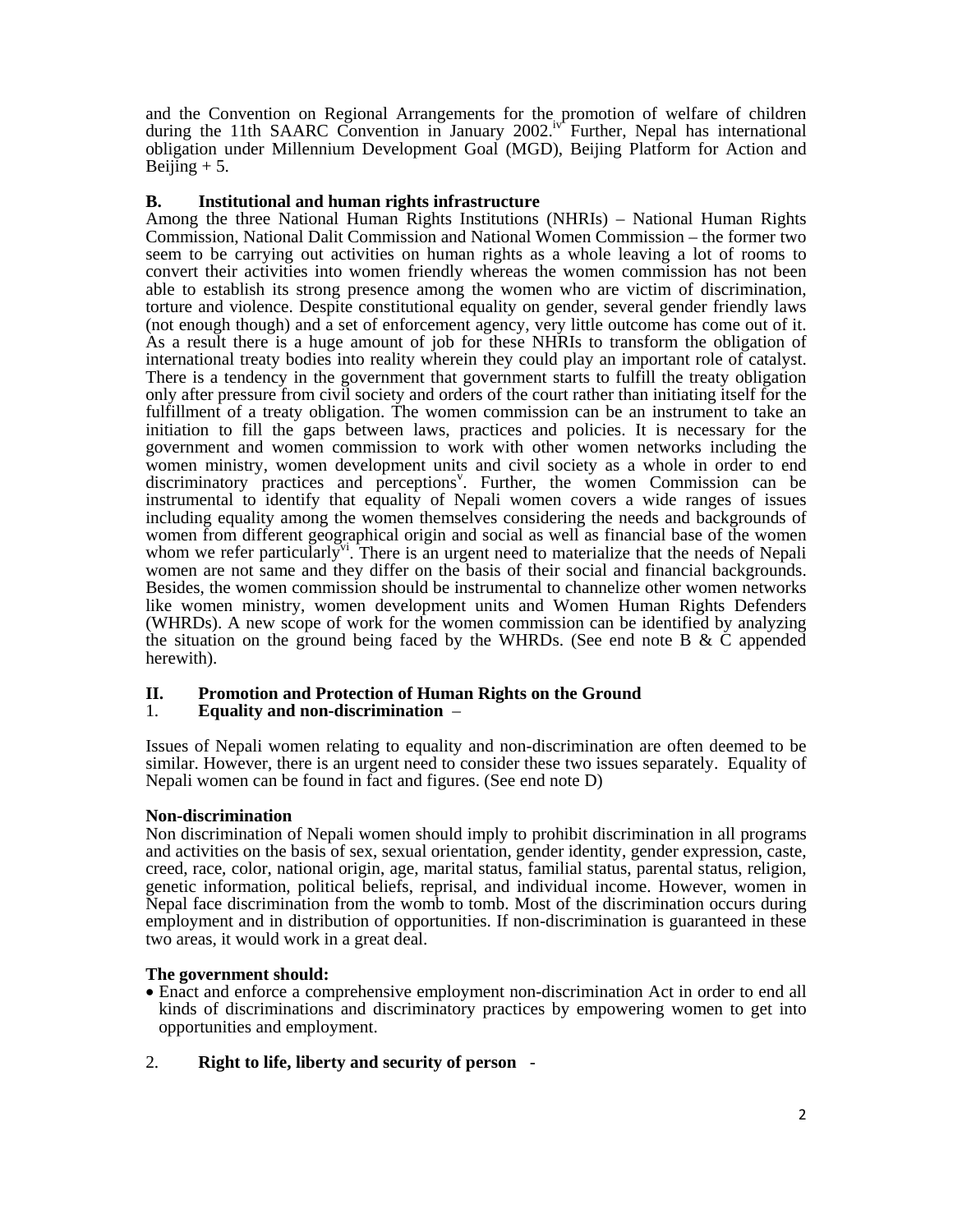and the Convention on Regional Arrangements for the promotion of welfare of children during the 11th SAARC Convention in January 2002.<sup>iv</sup> Further, Nepal has international obligation under Millennium Development Goal (MGD), Beijing Platform for Action and Beijing  $+ 5$ .

## **B. Institutional and human rights infrastructure**

Among the three National Human Rights Institutions (NHRIs) – National Human Rights Commission, National Dalit Commission and National Women Commission – the former two seem to be carrying out activities on human rights as a whole leaving a lot of rooms to convert their activities into women friendly whereas the women commission has not been able to establish its strong presence among the women who are victim of discrimination, torture and violence. Despite constitutional equality on gender, several gender friendly laws (not enough though) and a set of enforcement agency, very little outcome has come out of it. As a result there is a huge amount of job for these NHRIs to transform the obligation of international treaty bodies into reality wherein they could play an important role of catalyst. There is a tendency in the government that government starts to fulfill the treaty obligation only after pressure from civil society and orders of the court rather than initiating itself for the fulfillment of a treaty obligation. The women commission can be an instrument to take an initiation to fill the gaps between laws, practices and policies. It is necessary for the government and women commission to work with other women networks including the women ministry, women development units and civil society as a whole in order to end discriminatory practices and perceptions<sup>v</sup>. Further, the women Commission can be instrumental to identify that equality of Nepali women covers a wide ranges of issues including equality among the women themselves considering the needs and backgrounds of women from different geographical origin and social as well as financial base of the women whom we refer particularly<sup> $v_1$ </sup>. There is an urgent need to materialize that the needs of Nepali women are not same and they differ on the basis of their social and financial backgrounds. Besides, the women commission should be instrumental to channelize other women networks like women ministry, women development units and Women Human Rights Defenders (WHRDs). A new scope of work for the women commission can be identified by analyzing the situation on the ground being faced by the WHRDs. (See end note B  $\&$  C appended herewith).

# **II. Promotion and Protection of Human Rights on the Ground**

## 1. **Equality and non-discrimination** –

Issues of Nepali women relating to equality and non-discrimination are often deemed to be similar. However, there is an urgent need to consider these two issues separately. Equality of Nepali women can be found in fact and figures. (See end note D)

## **Non-discrimination**

Non discrimination of Nepali women should imply to prohibit discrimination in all programs and activities on the basis of sex, sexual orientation, gender identity, gender expression, caste, creed, race, color, national origin, age, marital status, familial status, parental status, religion, genetic information, political beliefs, reprisal, and individual income. However, women in Nepal face discrimination from the womb to tomb. Most of the discrimination occurs during employment and in distribution of opportunities. If non-discrimination is guaranteed in these two areas, it would work in a great deal.

#### **The government should:**

• Enact and enforce a comprehensive employment non-discrimination Act in order to end all kinds of discriminations and discriminatory practices by empowering women to get into opportunities and employment.

## 2. **Right to life, liberty and security of person** -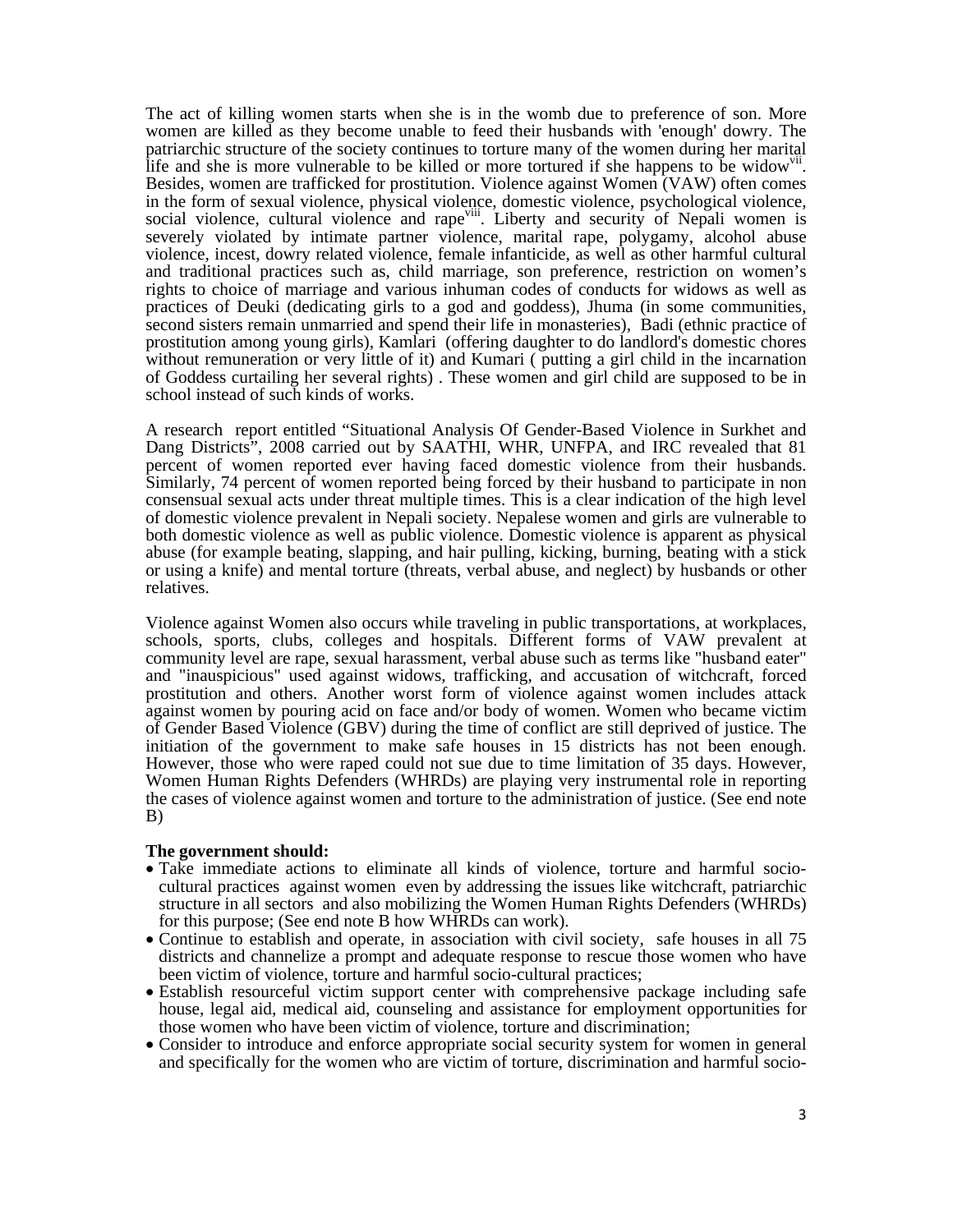The act of killing women starts when she is in the womb due to preference of son. More women are killed as they become unable to feed their husbands with 'enough' dowry. The patriarchic structure of the society continues to torture many of the women during her marital life and she is more vulnerable to be killed or more tortured if she happens to be widow<sup>vii</sup>.<br>Besides, women are trafficked for prostitution. Violence against Women (VAW) often comes in the form of sexual violence, physical violence, domestic violence, psychological violence, social violence, cultural violence and rape<sup>viii</sup>. Liberty and security of Nepali women is severely violated by intimate partner violence, marital rape, polygamy, alcohol abuse violence, incest, dowry related violence, female infanticide, as well as other harmful cultural and traditional practices such as, child marriage, son preference, restriction on women's rights to choice of marriage and various inhuman codes of conducts for widows as well as practices of Deuki (dedicating girls to a god and goddess), Jhuma (in some communities, second sisters remain unmarried and spend their life in monasteries), Badi (ethnic practice of prostitution among young girls), Kamlari (offering daughter to do landlord's domestic chores without remuneration or very little of it) and Kumari ( putting a girl child in the incarnation of Goddess curtailing her several rights) . These women and girl child are supposed to be in school instead of such kinds of works.

A research report entitled "Situational Analysis Of Gender-Based Violence in Surkhet and Dang Districts", 2008 carried out by SAATHI, WHR, UNFPA, and IRC revealed that 81 percent of women reported ever having faced domestic violence from their husbands. Similarly, 74 percent of women reported being forced by their husband to participate in non consensual sexual acts under threat multiple times. This is a clear indication of the high level of domestic violence prevalent in Nepali society. Nepalese women and girls are vulnerable to both domestic violence as well as public violence. Domestic violence is apparent as physical abuse (for example beating, slapping, and hair pulling, kicking, burning, beating with a stick or using a knife) and mental torture (threats, verbal abuse, and neglect) by husbands or other relatives.

Violence against Women also occurs while traveling in public transportations, at workplaces, schools, sports, clubs, colleges and hospitals. Different forms of VAW prevalent at community level are rape, sexual harassment, verbal abuse such as terms like "husband eater" and "inauspicious" used against widows, trafficking, and accusation of witchcraft, forced prostitution and others. Another worst form of violence against women includes attack against women by pouring acid on face and/or body of women. Women who became victim of Gender Based Violence (GBV) during the time of conflict are still deprived of justice. The initiation of the government to make safe houses in 15 districts has not been enough. However, those who were raped could not sue due to time limitation of 35 days. However, Women Human Rights Defenders (WHRDs) are playing very instrumental role in reporting the cases of violence against women and torture to the administration of justice. (See end note B)

#### **The government should:**

- Take immediate actions to eliminate all kinds of violence, torture and harmful sociocultural practices against women even by addressing the issues like witchcraft, patriarchic structure in all sectors and also mobilizing the Women Human Rights Defenders (WHRDs) for this purpose; (See end note B how WHRDs can work).
- Continue to establish and operate, in association with civil society, safe houses in all 75 districts and channelize a prompt and adequate response to rescue those women who have been victim of violence, torture and harmful socio-cultural practices;
- Establish resourceful victim support center with comprehensive package including safe house, legal aid, medical aid, counseling and assistance for employment opportunities for those women who have been victim of violence, torture and discrimination;
- Consider to introduce and enforce appropriate social security system for women in general and specifically for the women who are victim of torture, discrimination and harmful socio-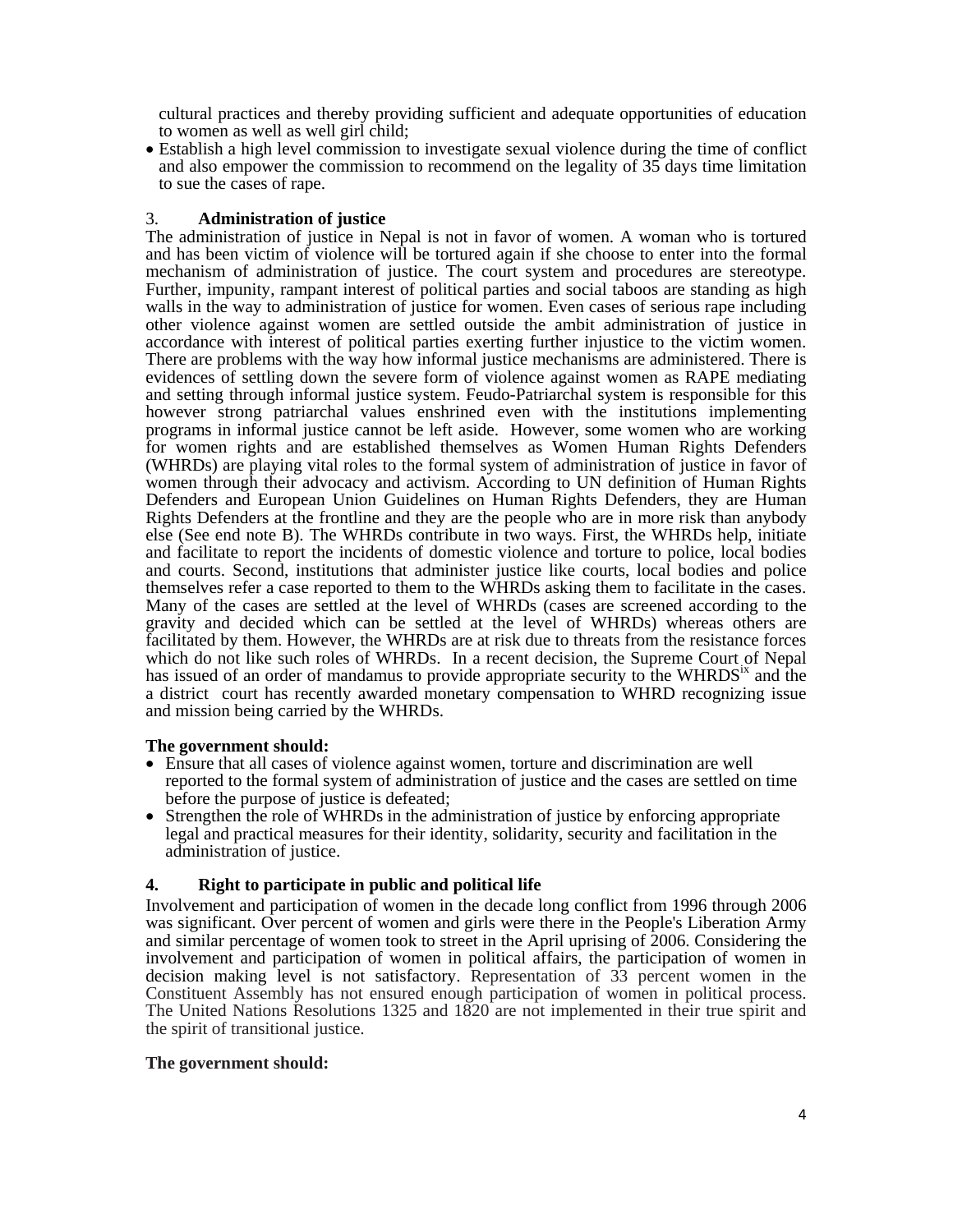cultural practices and thereby providing sufficient and adequate opportunities of education to women as well as well girl child;

• Establish a high level commission to investigate sexual violence during the time of conflict and also empower the commission to recommend on the legality of 35 days time limitation to sue the cases of rape.

3. **Administration of justice** The administration of justice in Nepal is not in favor of women. A woman who is tortured and has been victim of violence will be tortured again if she choose to enter into the formal mechanism of administration of justice. The court system and procedures are stereotype. Further, impunity, rampant interest of political parties and social taboos are standing as high walls in the way to administration of justice for women. Even cases of serious rape including other violence against women are settled outside the ambit administration of justice in accordance with interest of political parties exerting further injustice to the victim women. There are problems with the way how informal justice mechanisms are administered. There is evidences of settling down the severe form of violence against women as RAPE mediating and setting through informal justice system. Feudo-Patriarchal system is responsible for this however strong patriarchal values enshrined even with the institutions implementing programs in informal justice cannot be left aside. However, some women who are working for women rights and are established themselves as Women Human Rights Defenders (WHRDs) are playing vital roles to the formal system of administration of justice in favor of women through their advocacy and activism. According to UN definition of Human Rights Defenders and European Union Guidelines on Human Rights Defenders, they are Human Rights Defenders at the frontline and they are the people who are in more risk than anybody else (See end note B). The WHRDs contribute in two ways. First, the WHRDs help, initiate and facilitate to report the incidents of domestic violence and torture to police, local bodies and courts. Second, institutions that administer justice like courts, local bodies and police themselves refer a case reported to them to the WHRDs asking them to facilitate in the cases. Many of the cases are settled at the level of WHRDs (cases are screened according to the gravity and decided which can be settled at the level of WHRDs) whereas others are facilitated by them. However, the WHRDs are at risk due to threats from the resistance forces which do not like such roles of WHRDs. In a recent decision, the Supreme Court of Nepal has issued of an order of mandamus to provide appropriate security to the  $WHRDS<sup>ix</sup>$  and the a district court has recently awarded monetary compensation to WHRD recognizing issue and mission being carried by the WHRDs.

#### **The government should:**

- Ensure that all cases of violence against women, torture and discrimination are well reported to the formal system of administration of justice and the cases are settled on time
- Strengthen the role of WHRDs in the administration of justice by enforcing appropriate legal and practical measures for their identity, solidarity, security and facilitation in the administration of justice.

## **4. Right to participate in public and political life**

Involvement and participation of women in the decade long conflict from 1996 through 2006 was significant. Over percent of women and girls were there in the People's Liberation Army and similar percentage of women took to street in the April uprising of 2006. Considering the involvement and participation of women in political affairs, the participation of women in decision making level is not satisfactory. Representation of 33 percent women in the Constituent Assembly has not ensured enough participation of women in political process. The United Nations Resolutions 1325 and 1820 are not implemented in their true spirit and the spirit of transitional justice.

#### **The government should:**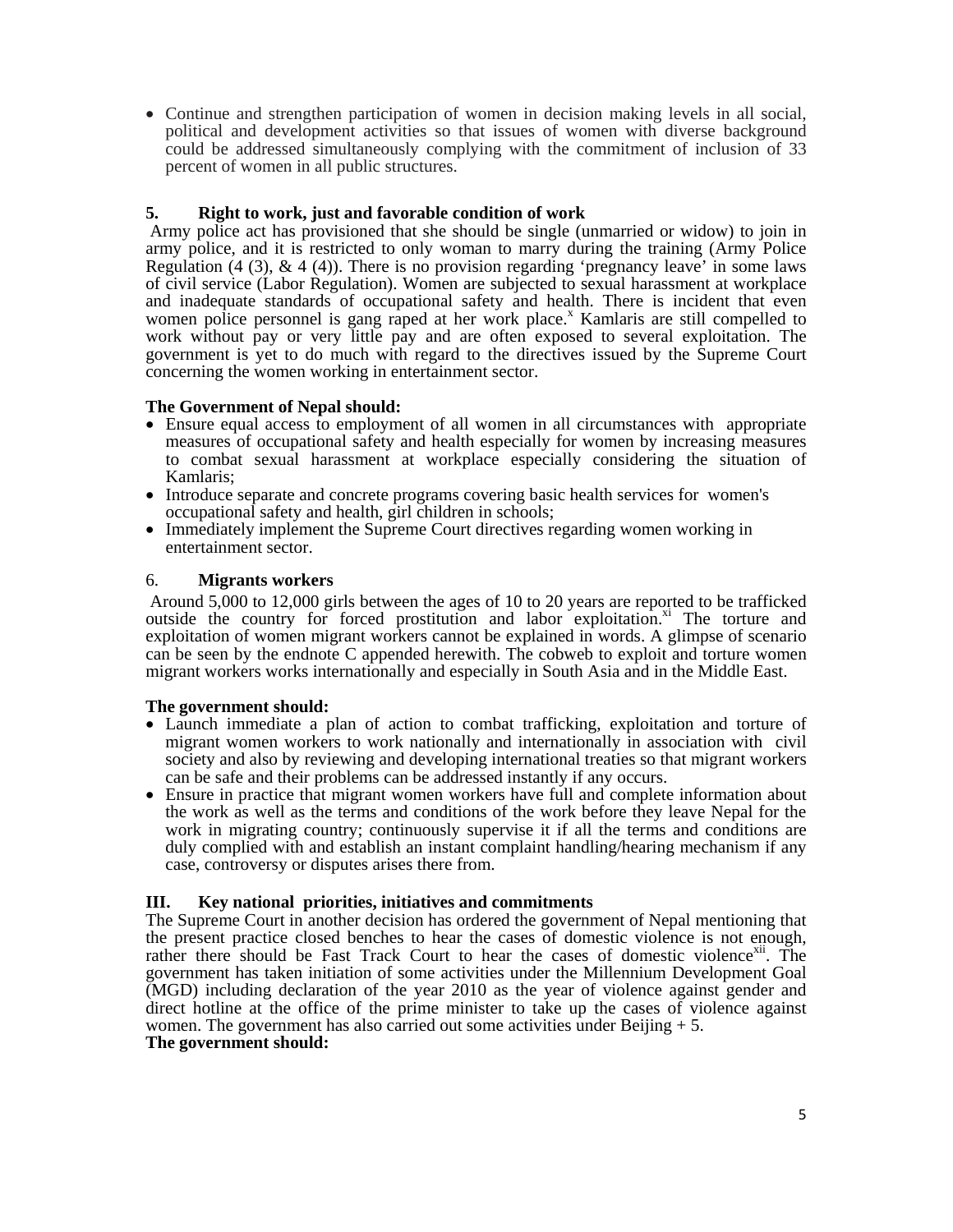• Continue and strengthen participation of women in decision making levels in all social, political and development activities so that issues of women with diverse background could be addressed simultaneously complying with the commitment of inclusion of 33 percent of women in all public structures.

# **5. Right to work, just and favorable condition of work**

 Army police act has provisioned that she should be single (unmarried or widow) to join in army police, and it is restricted to only woman to marry during the training (Army Police Regulation (4 (3),  $\&$  4 (4)). There is no provision regarding 'pregnancy leave' in some laws of civil service (Labor Regulation). Women are subjected to sexual harassment at workplace and inadequate standards of occupational safety and health. There is incident that even women police personnel is gang raped at her work place.<sup>x</sup> Kamlaris are still compelled to work without pay or very little pay and are often exposed to several exploitation. The government is yet to do much with regard to the directives issued by the Supreme Court concerning the women working in entertainment sector.

## **The Government of Nepal should:**

- Ensure equal access to employment of all women in all circumstances with appropriate measures of occupational safety and health especially for women by increasing measures to combat sexual harassment at workplace especially considering the situation of
- Introduce separate and concrete programs covering basic health services for women's
- occupational safety and health, girl children in schools; Immediately implement the Supreme Court directives regarding women working in entertainment sector.

## 6. **Migrants workers**

 Around 5,000 to 12,000 girls between the ages of 10 to 20 years are reported to be trafficked outside the country for forced prostitution and labor exploitation.<sup>xi</sup> The torture and exploitation of women migrant workers cannot be explained in words. A glimpse of scenario can be seen by the endnote C appended herewith. The cobweb to exploit and torture women migrant workers works internationally and especially in South Asia and in the Middle East.

## **The government should:**

- Launch immediate a plan of action to combat trafficking, exploitation and torture of migrant women workers to work nationally and internationally in association with civil society and also by reviewing and developing international treaties so that migrant workers
- can be safe and their problems can be addressed instantly if any occurs. Ensure in practice that migrant women workers have full and complete information about the work as well as the terms and conditions of the work before they leave Nepal for the work in migrating country; continuously supervise it if all the terms and conditions are duly complied with and establish an instant complaint handling/hearing mechanism if any case, controversy or disputes arises there from.

## **III. Key national priorities, initiatives and commitments**

The Supreme Court in another decision has ordered the government of Nepal mentioning that the present practice closed benches to hear the cases of domestic violence is not enough, rather there should be Fast Track Court to hear the cases of domestic violence<sup>xii</sup>. The government has taken initiation of some activities under the Millennium Development Goal (MGD) including declaration of the year 2010 as the year of violence against gender and direct hotline at the office of the prime minister to take up the cases of violence against women. The government has also carried out some activities under Beijing  $+ 5$ .

## **The government should:**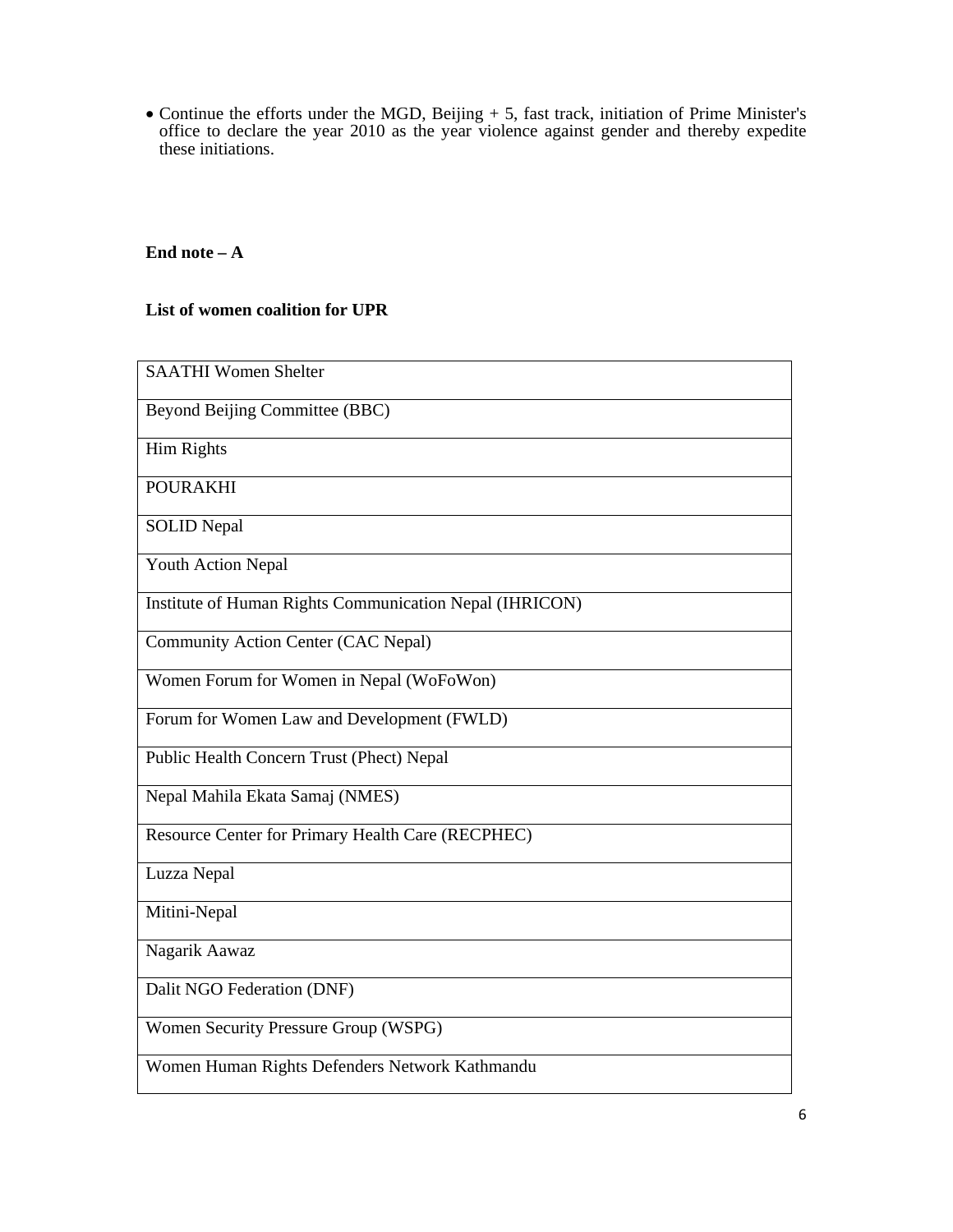• Continue the efforts under the MGD, Beijing + 5, fast track, initiation of Prime Minister's office to declare the year 2010 as the year violence against gender and thereby expedite these initiations.

# **End note – A**

# **List of women coalition for UPR**

| <b>SAATHI Women Shelter</b>                             |
|---------------------------------------------------------|
| Beyond Beijing Committee (BBC)                          |
| <b>Him Rights</b>                                       |
| <b>POURAKHI</b>                                         |
| <b>SOLID Nepal</b>                                      |
| Youth Action Nepal                                      |
| Institute of Human Rights Communication Nepal (IHRICON) |
| Community Action Center (CAC Nepal)                     |
| Women Forum for Women in Nepal (WoFoWon)                |
| Forum for Women Law and Development (FWLD)              |
| Public Health Concern Trust (Phect) Nepal               |
| Nepal Mahila Ekata Samaj (NMES)                         |
| Resource Center for Primary Health Care (RECPHEC)       |
| Luzza Nepal                                             |
| Mitini-Nepal                                            |
| Nagarik Aawaz                                           |
| Dalit NGO Federation (DNF)                              |
| Women Security Pressure Group (WSPG)                    |
| Women Human Rights Defenders Network Kathmandu          |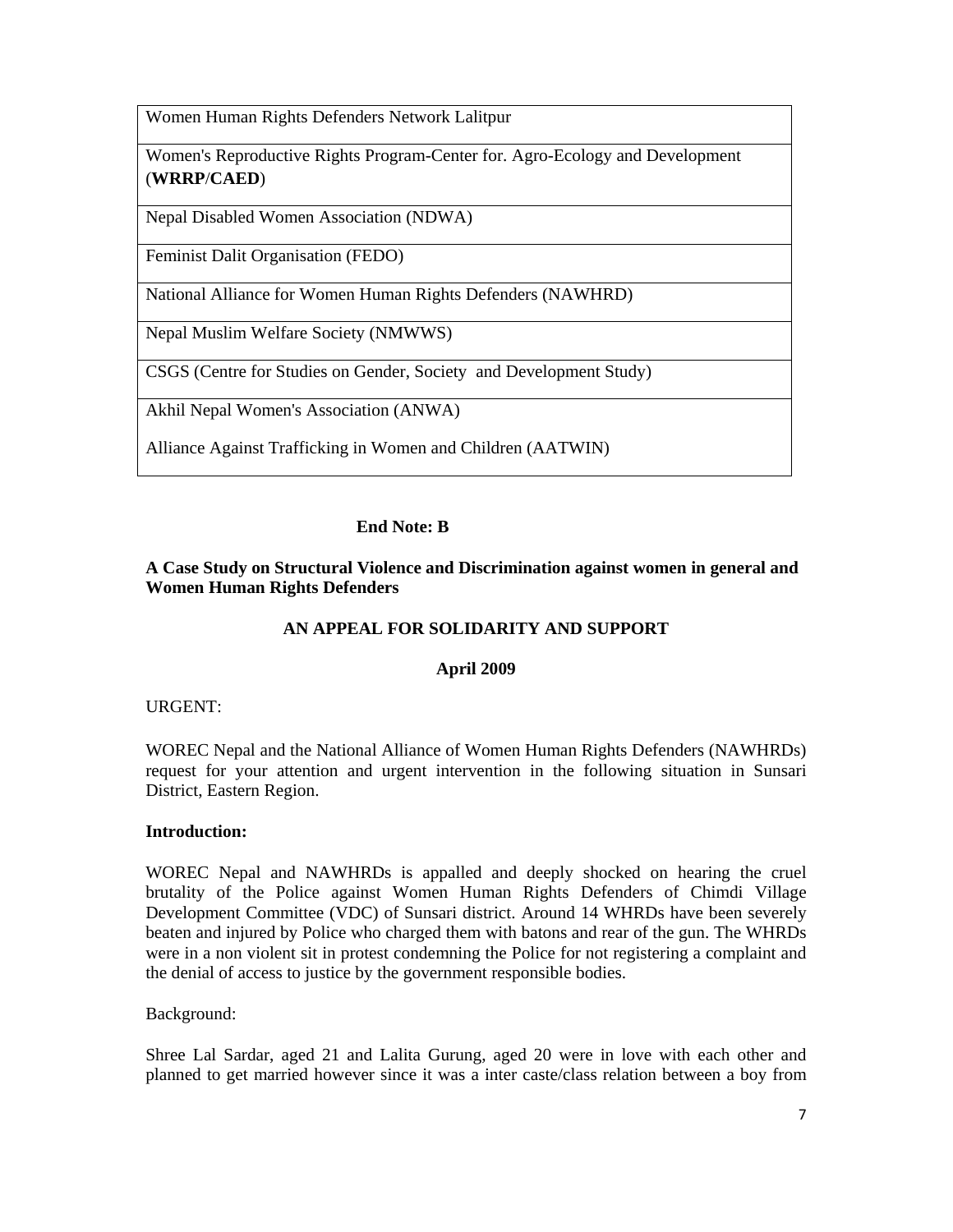Women Human Rights Defenders Network Lalitpur

Women's Reproductive Rights Program-Center for. Agro-Ecology and Development (**WRRP**/**CAED**)

Nepal Disabled Women Association (NDWA)

Feminist Dalit Organisation (FEDO)

National Alliance for Women Human Rights Defenders (NAWHRD)

Nepal Muslim Welfare Society (NMWWS)

CSGS (Centre for Studies on Gender, Society and Development Study)

Akhil Nepal Women's Association (ANWA)

Alliance Against Trafficking in Women and Children (AATWIN)

# **End Note: B**

# **A Case Study on Structural Violence and Discrimination against women in general and Women Human Rights Defenders**

# **AN APPEAL FOR SOLIDARITY AND SUPPORT**

# **April 2009**

## URGENT:

WOREC Nepal and the National Alliance of Women Human Rights Defenders (NAWHRDs) request for your attention and urgent intervention in the following situation in Sunsari District, Eastern Region.

## **Introduction:**

WOREC Nepal and NAWHRDs is appalled and deeply shocked on hearing the cruel brutality of the Police against Women Human Rights Defenders of Chimdi Village Development Committee (VDC) of Sunsari district. Around 14 WHRDs have been severely beaten and injured by Police who charged them with batons and rear of the gun. The WHRDs were in a non violent sit in protest condemning the Police for not registering a complaint and the denial of access to justice by the government responsible bodies.

Background:

Shree Lal Sardar, aged 21 and Lalita Gurung, aged 20 were in love with each other and planned to get married however since it was a inter caste/class relation between a boy from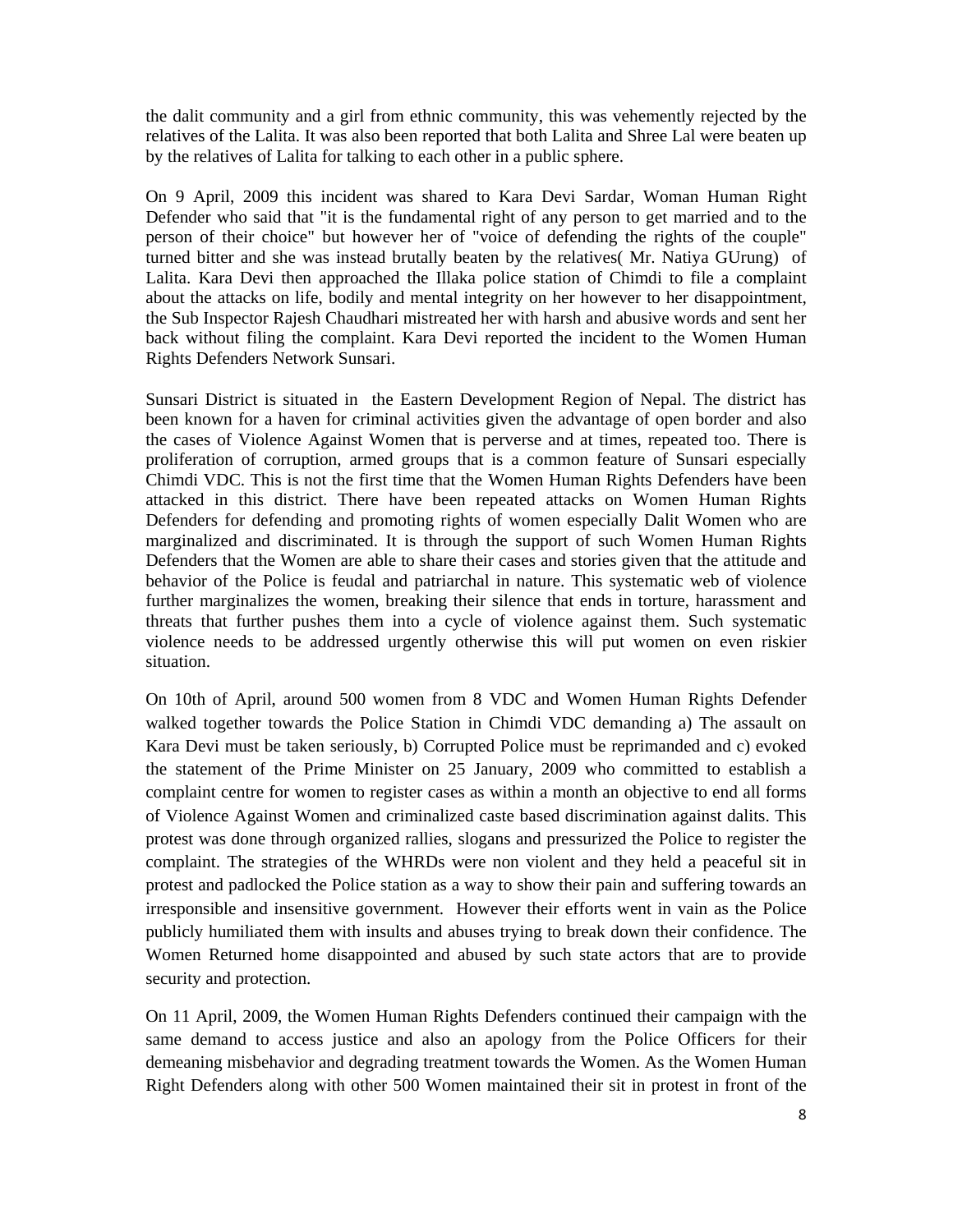the dalit community and a girl from ethnic community, this was vehemently rejected by the relatives of the Lalita. It was also been reported that both Lalita and Shree Lal were beaten up by the relatives of Lalita for talking to each other in a public sphere.

On 9 April, 2009 this incident was shared to Kara Devi Sardar, Woman Human Right Defender who said that "it is the fundamental right of any person to get married and to the person of their choice" but however her of "voice of defending the rights of the couple" turned bitter and she was instead brutally beaten by the relatives( Mr. Natiya GUrung) of Lalita. Kara Devi then approached the Illaka police station of Chimdi to file a complaint about the attacks on life, bodily and mental integrity on her however to her disappointment, the Sub Inspector Rajesh Chaudhari mistreated her with harsh and abusive words and sent her back without filing the complaint. Kara Devi reported the incident to the Women Human Rights Defenders Network Sunsari.

Sunsari District is situated in the Eastern Development Region of Nepal. The district has been known for a haven for criminal activities given the advantage of open border and also the cases of Violence Against Women that is perverse and at times, repeated too. There is proliferation of corruption, armed groups that is a common feature of Sunsari especially Chimdi VDC. This is not the first time that the Women Human Rights Defenders have been attacked in this district. There have been repeated attacks on Women Human Rights Defenders for defending and promoting rights of women especially Dalit Women who are marginalized and discriminated. It is through the support of such Women Human Rights Defenders that the Women are able to share their cases and stories given that the attitude and behavior of the Police is feudal and patriarchal in nature. This systematic web of violence further marginalizes the women, breaking their silence that ends in torture, harassment and threats that further pushes them into a cycle of violence against them. Such systematic violence needs to be addressed urgently otherwise this will put women on even riskier situation.

On 10th of April, around 500 women from 8 VDC and Women Human Rights Defender walked together towards the Police Station in Chimdi VDC demanding a) The assault on Kara Devi must be taken seriously, b) Corrupted Police must be reprimanded and c) evoked the statement of the Prime Minister on 25 January, 2009 who committed to establish a complaint centre for women to register cases as within a month an objective to end all forms of Violence Against Women and criminalized caste based discrimination against dalits. This protest was done through organized rallies, slogans and pressurized the Police to register the complaint. The strategies of the WHRDs were non violent and they held a peaceful sit in protest and padlocked the Police station as a way to show their pain and suffering towards an irresponsible and insensitive government. However their efforts went in vain as the Police publicly humiliated them with insults and abuses trying to break down their confidence. The Women Returned home disappointed and abused by such state actors that are to provide security and protection.

On 11 April, 2009, the Women Human Rights Defenders continued their campaign with the same demand to access justice and also an apology from the Police Officers for their demeaning misbehavior and degrading treatment towards the Women. As the Women Human Right Defenders along with other 500 Women maintained their sit in protest in front of the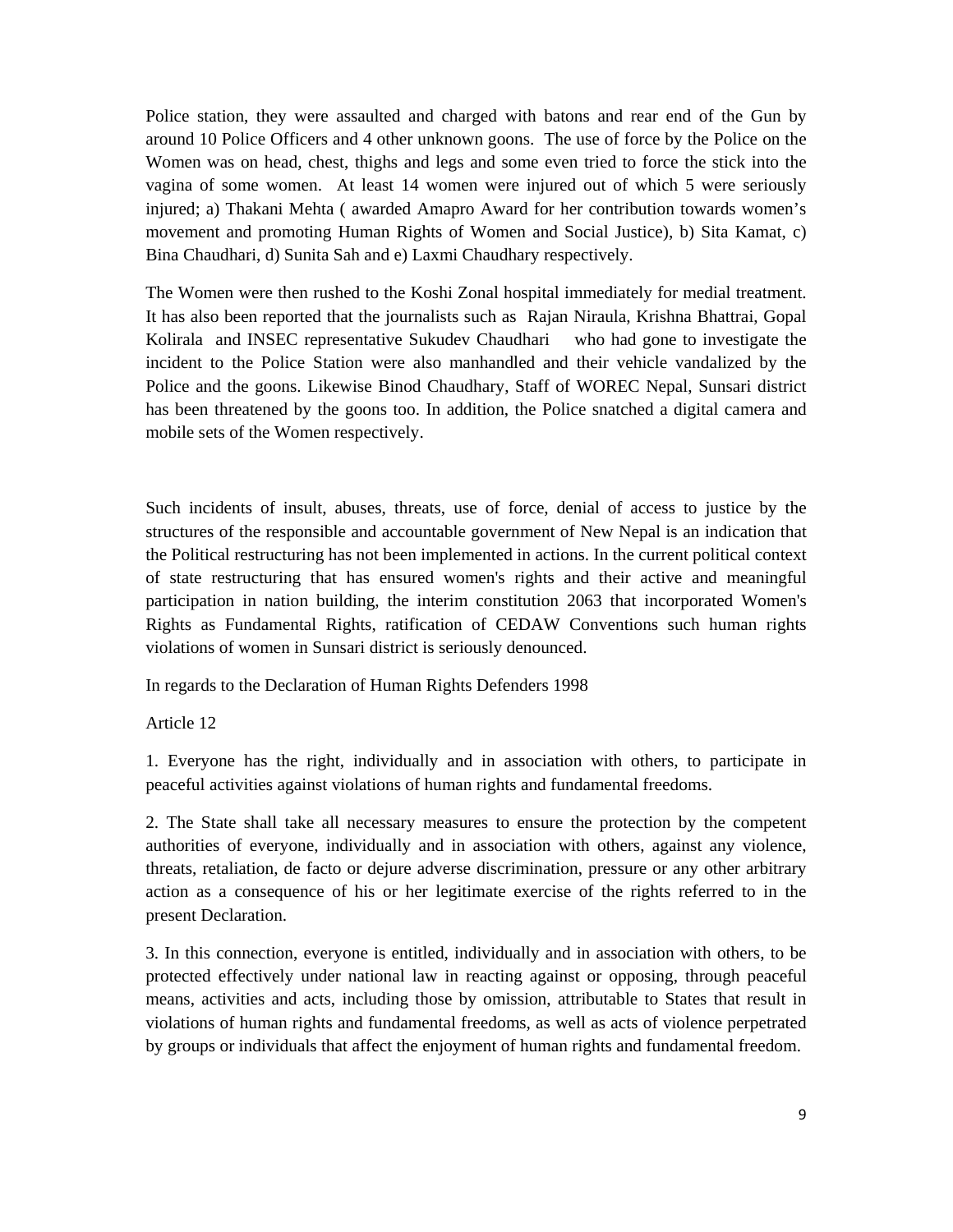Police station, they were assaulted and charged with batons and rear end of the Gun by around 10 Police Officers and 4 other unknown goons. The use of force by the Police on the Women was on head, chest, thighs and legs and some even tried to force the stick into the vagina of some women. At least 14 women were injured out of which 5 were seriously injured; a) Thakani Mehta ( awarded Amapro Award for her contribution towards women's movement and promoting Human Rights of Women and Social Justice), b) Sita Kamat, c) Bina Chaudhari, d) Sunita Sah and e) Laxmi Chaudhary respectively.

The Women were then rushed to the Koshi Zonal hospital immediately for medial treatment. It has also been reported that the journalists such as Rajan Niraula, Krishna Bhattrai, Gopal Kolirala and INSEC representative Sukudev Chaudhari who had gone to investigate the incident to the Police Station were also manhandled and their vehicle vandalized by the Police and the goons. Likewise Binod Chaudhary, Staff of WOREC Nepal, Sunsari district has been threatened by the goons too. In addition, the Police snatched a digital camera and mobile sets of the Women respectively.

Such incidents of insult, abuses, threats, use of force, denial of access to justice by the structures of the responsible and accountable government of New Nepal is an indication that the Political restructuring has not been implemented in actions. In the current political context of state restructuring that has ensured women's rights and their active and meaningful participation in nation building, the interim constitution 2063 that incorporated Women's Rights as Fundamental Rights, ratification of CEDAW Conventions such human rights violations of women in Sunsari district is seriously denounced.

In regards to the Declaration of Human Rights Defenders 1998

Article 12

1. Everyone has the right, individually and in association with others, to participate in peaceful activities against violations of human rights and fundamental freedoms.

2. The State shall take all necessary measures to ensure the protection by the competent authorities of everyone, individually and in association with others, against any violence, threats, retaliation, de facto or dejure adverse discrimination, pressure or any other arbitrary action as a consequence of his or her legitimate exercise of the rights referred to in the present Declaration.

3. In this connection, everyone is entitled, individually and in association with others, to be protected effectively under national law in reacting against or opposing, through peaceful means, activities and acts, including those by omission, attributable to States that result in violations of human rights and fundamental freedoms, as well as acts of violence perpetrated by groups or individuals that affect the enjoyment of human rights and fundamental freedom.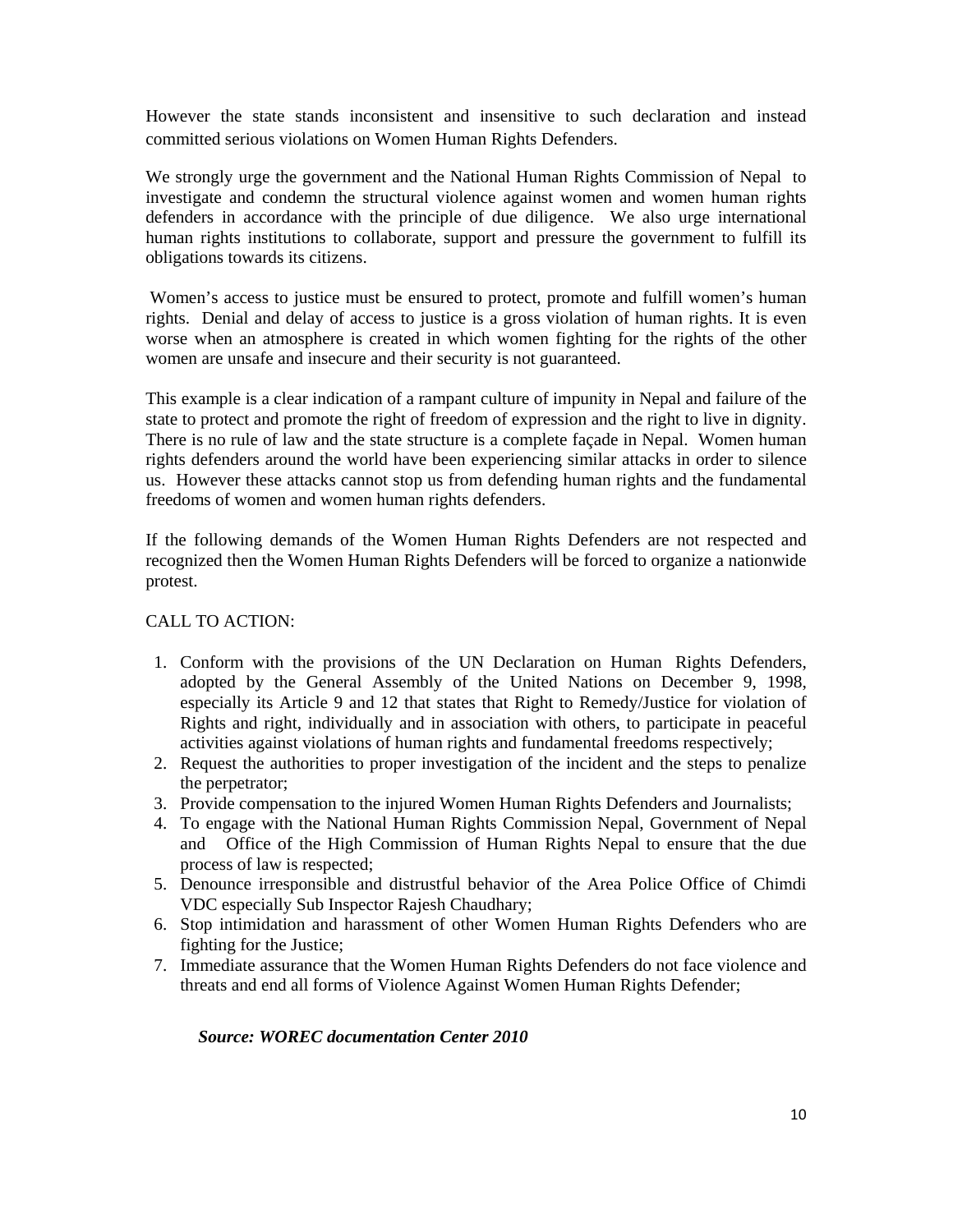However the state stands inconsistent and insensitive to such declaration and instead committed serious violations on Women Human Rights Defenders.

We strongly urge the government and the National Human Rights Commission of Nepal to investigate and condemn the structural violence against women and women human rights defenders in accordance with the principle of due diligence. We also urge international human rights institutions to collaborate, support and pressure the government to fulfill its obligations towards its citizens.

 Women's access to justice must be ensured to protect, promote and fulfill women's human rights. Denial and delay of access to justice is a gross violation of human rights. It is even worse when an atmosphere is created in which women fighting for the rights of the other women are unsafe and insecure and their security is not guaranteed.

This example is a clear indication of a rampant culture of impunity in Nepal and failure of the state to protect and promote the right of freedom of expression and the right to live in dignity. There is no rule of law and the state structure is a complete façade in Nepal. Women human rights defenders around the world have been experiencing similar attacks in order to silence us. However these attacks cannot stop us from defending human rights and the fundamental freedoms of women and women human rights defenders.

If the following demands of the Women Human Rights Defenders are not respected and recognized then the Women Human Rights Defenders will be forced to organize a nationwide protest.

## CALL TO ACTION:

- 1. Conform with the provisions of the UN Declaration on Human Rights Defenders, adopted by the General Assembly of the United Nations on December 9, 1998, especially its Article 9 and 12 that states that Right to Remedy/Justice for violation of Rights and right, individually and in association with others, to participate in peaceful activities against violations of human rights and fundamental freedoms respectively;
- 2. Request the authorities to proper investigation of the incident and the steps to penalize the perpetrator;
- 3. Provide compensation to the injured Women Human Rights Defenders and Journalists;
- 4. To engage with the National Human Rights Commission Nepal, Government of Nepal and Office of the High Commission of Human Rights Nepal to ensure that the due process of law is respected;
- 5. Denounce irresponsible and distrustful behavior of the Area Police Office of Chimdi VDC especially Sub Inspector Rajesh Chaudhary;
- 6. Stop intimidation and harassment of other Women Human Rights Defenders who are fighting for the Justice;
- 7. Immediate assurance that the Women Human Rights Defenders do not face violence and threats and end all forms of Violence Against Women Human Rights Defender;

## *Source: WOREC documentation Center 2010*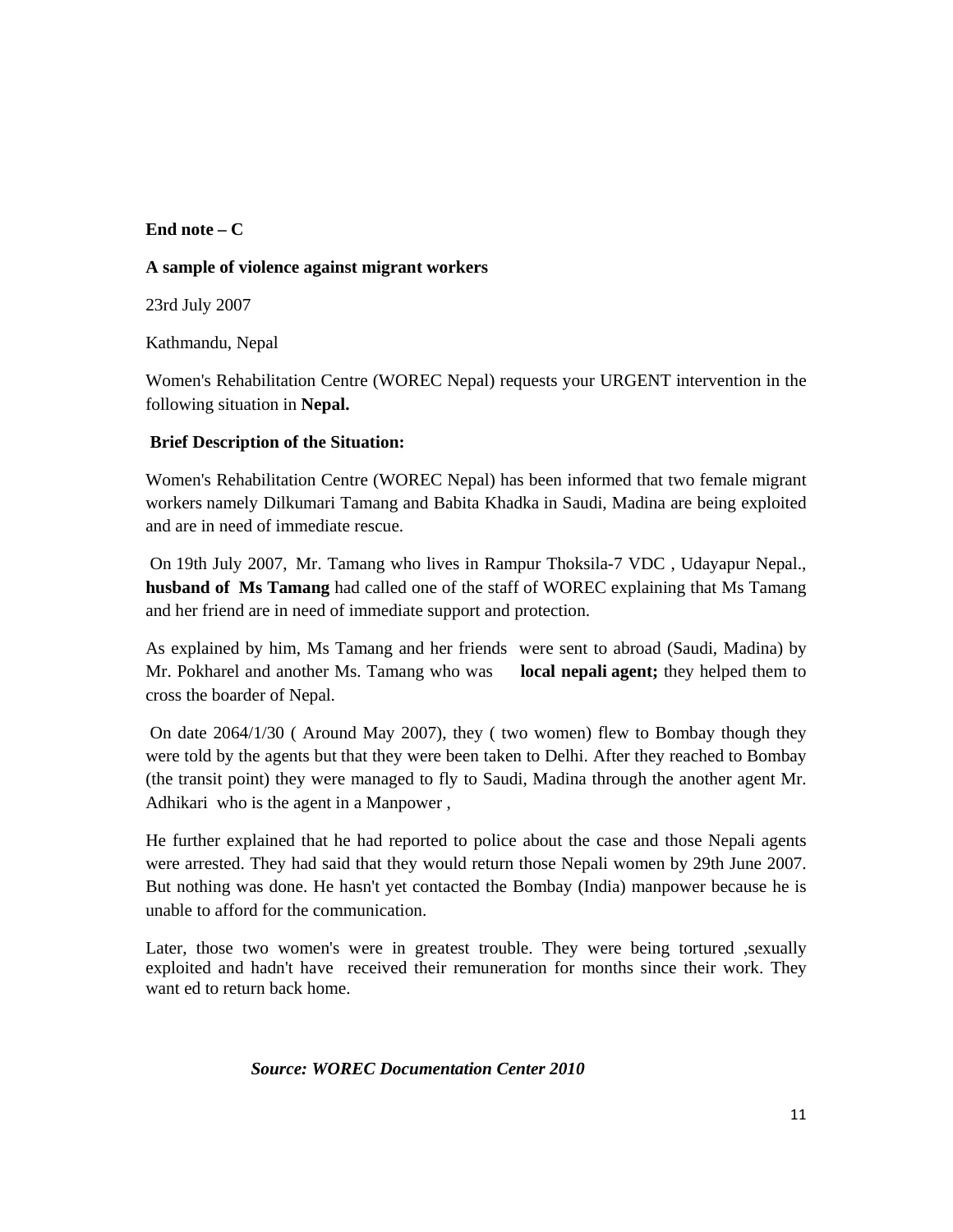## **End note – C**

#### **A sample of violence against migrant workers**

23rd July 2007

Kathmandu, Nepal

Women's Rehabilitation Centre (WOREC Nepal) requests your URGENT intervention in the following situation in **Nepal.**

# **Brief Description of the Situation:**

Women's Rehabilitation Centre (WOREC Nepal) has been informed that two female migrant workers namely Dilkumari Tamang and Babita Khadka in Saudi, Madina are being exploited and are in need of immediate rescue.

 On 19th July 2007, Mr. Tamang who lives in Rampur Thoksila-7 VDC , Udayapur Nepal., **husband of Ms Tamang** had called one of the staff of WOREC explaining that Ms Tamang and her friend are in need of immediate support and protection.

As explained by him, Ms Tamang and her friends were sent to abroad (Saudi, Madina) by Mr. Pokharel and another Ms. Tamang who was **local nepali agent;** they helped them to cross the boarder of Nepal.

On date 2064/1/30 ( Around May 2007), they ( two women) flew to Bombay though they were told by the agents but that they were been taken to Delhi. After they reached to Bombay (the transit point) they were managed to fly to Saudi, Madina through the another agent Mr. Adhikari who is the agent in a Manpower ,

He further explained that he had reported to police about the case and those Nepali agents were arrested. They had said that they would return those Nepali women by 29th June 2007. But nothing was done. He hasn't yet contacted the Bombay (India) manpower because he is unable to afford for the communication.

Later, those two women's were in greatest trouble. They were being tortured ,sexually exploited and hadn't have received their remuneration for months since their work. They want ed to return back home.

## *Source: WOREC Documentation Center 2010*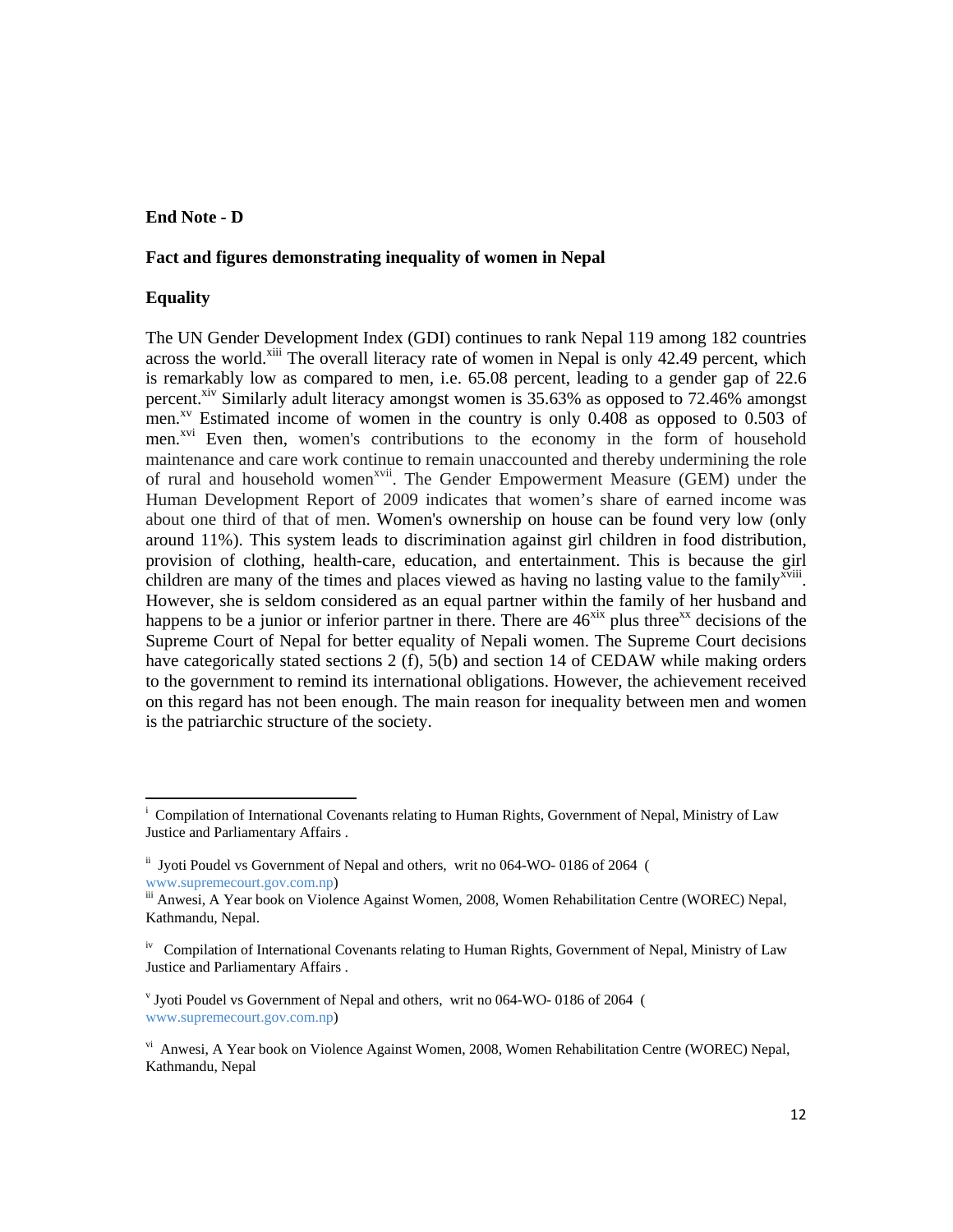#### **End Note - D**

#### **Fact and figures demonstrating inequality of women in Nepal**

#### **Equality**

The UN Gender Development Index (GDI) continues to rank Nepal 119 among 182 countries across the world.<sup>xiii</sup> The overall literacy rate of women in Nepal is only 42.49 percent, which is remarkably low as compared to men, i.e. 65.08 percent, leading to a gender gap of 22.6 percent.<sup>xiv</sup> Similarly adult literacy amongst women is 35.63% as opposed to 72.46% amongst men.<sup>xv</sup> Estimated income of women in the country is only  $0.408$  as opposed to  $0.503$  of men.<sup>xvi</sup> Even then, women's contributions to the economy in the form of household maintenance and care work continue to remain unaccounted and thereby undermining the role of rural and household women<sup>xvii</sup>. The Gender Empowerment Measure (GEM) under the Human Development Report of 2009 indicates that women's share of earned income was about one third of that of men. Women's ownership on house can be found very low (only around 11%). This system leads to discrimination against girl children in food distribution, provision of clothing, health-care, education, and entertainment. This is because the girl children are many of the times and places viewed as having no lasting value to the family<sup>xviii</sup>. However, she is seldom considered as an equal partner within the family of her husband and happens to be a junior or inferior partner in there. There are  $46<sup>xix</sup>$  plus three<sup>xx</sup> decisions of the Supreme Court of Nepal for better equality of Nepali women. The Supreme Court decisions have categorically stated sections 2 (f), 5(b) and section 14 of CEDAW while making orders to the government to remind its international obligations. However, the achievement received on this regard has not been enough. The main reason for inequality between men and women is the patriarchic structure of the society.

<sup>&</sup>lt;sup>i</sup> Compilation of International Covenants relating to Human Rights, Government of Nepal, Ministry of Law Justice and Parliamentary Affairs .

ii Jyoti Poudel vs Government of Nepal and others, writ no 064-WO- 0186 of 2064 (

www.supremecourt.gov.com.np)<br>iii Anwesi, A Year book on Violence Against Women, 2008, Women Rehabilitation Centre (WOREC) Nepal, Kathmandu, Nepal.

<sup>&</sup>lt;sup>iv</sup> Compilation of International Covenants relating to Human Rights, Government of Nepal, Ministry of Law Justice and Parliamentary Affairs .

v Jyoti Poudel vs Government of Nepal and others, writ no 064-WO- 0186 of 2064 ( www.supremecourt.gov.com.np)

vi Anwesi, A Year book on Violence Against Women, 2008, Women Rehabilitation Centre (WOREC) Nepal, Kathmandu, Nepal